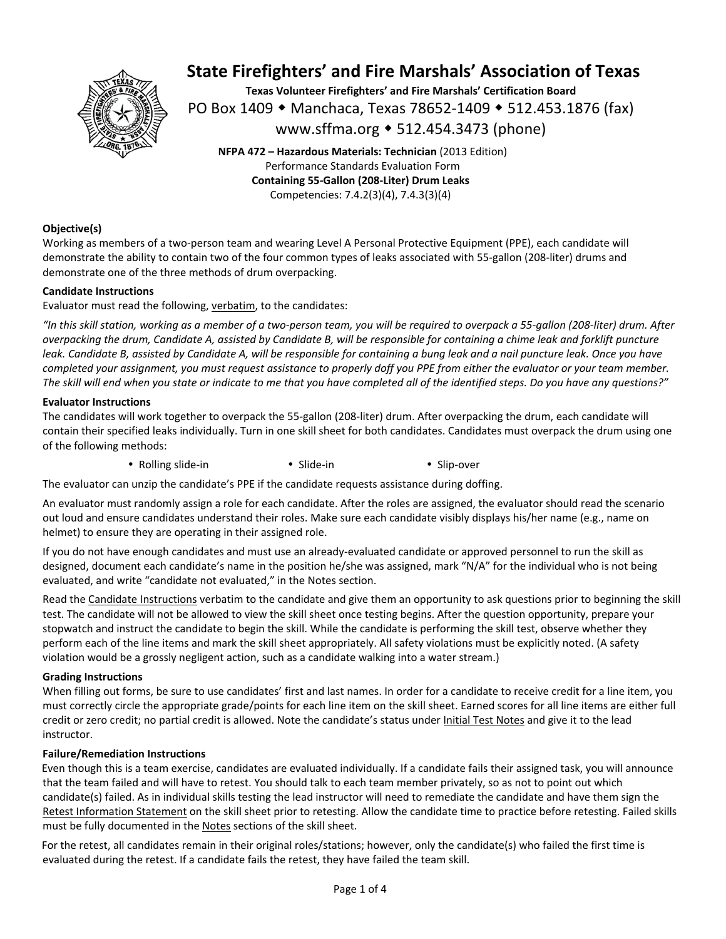

**Texas Volunteer Firefighters' and Fire Marshals' Certification Board**  PO Box 1409 ◆ Manchaca, Texas 78652-1409 ◆ 512.453.1876 (fax) www.sffma.org 512.454.3473 (phone)

**NFPA 472 – Hazardous Materials: Technician** (2013 Edition) Performance Standards Evaluation Form **Containing 55‐Gallon (208‐Liter) Drum Leaks**  Competencies: 7.4.2(3)(4), 7.4.3(3)(4)

### **Objective(s)**

Working as members of a two-person team and wearing Level A Personal Protective Equipment (PPE), each candidate will demonstrate the ability to contain two of the four common types of leaks associated with 55‐gallon (208‐liter) drums and demonstrate one of the three methods of drum overpacking.

### **Candidate Instructions**

Evaluator must read the following, verbatim, to the candidates:

*"In this skill station, working as a member of a two‐person team, you will be required to overpack a 55‐gallon (208‐liter) drum. After overpacking the drum, Candidate A, assisted by Candidate B, will be responsible for containing a chime leak and forklift puncture leak. Candidate B, assisted by Candidate A, will be responsible for containing a bung leak and a nail puncture leak. Once you have completed your assignment, you must request assistance to properly doff you PPE from either the evaluator or your team member. The skill will end when you state or indicate to me that you have completed all of the identified steps. Do you have any questions?"* 

#### **Evaluator Instructions**

The candidates will work together to overpack the 55‐gallon (208‐liter) drum. After overpacking the drum, each candidate will contain their specified leaks individually. Turn in one skill sheet for both candidates. Candidates must overpack the drum using one of the following methods:

Rolling slide‐in Slide‐in Slip‐over

The evaluator can unzip the candidate's PPE if the candidate requests assistance during doffing.

An evaluator must randomly assign a role for each candidate. After the roles are assigned, the evaluator should read the scenario out loud and ensure candidates understand their roles. Make sure each candidate visibly displays his/her name (e.g., name on helmet) to ensure they are operating in their assigned role.

If you do not have enough candidates and must use an already‐evaluated candidate or approved personnel to run the skill as designed, document each candidate's name in the position he/she was assigned, mark "N/A" for the individual who is not being evaluated, and write "candidate not evaluated," in the Notes section.

Read the Candidate Instructions verbatim to the candidate and give them an opportunity to ask questions prior to beginning the skill test. The candidate will not be allowed to view the skill sheet once testing begins. After the question opportunity, prepare your stopwatch and instruct the candidate to begin the skill. While the candidate is performing the skill test, observe whether they perform each of the line items and mark the skill sheet appropriately. All safety violations must be explicitly noted. (A safety violation would be a grossly negligent action, such as a candidate walking into a water stream.)

#### **Grading Instructions**

When filling out forms, be sure to use candidates' first and last names. In order for a candidate to receive credit for a line item, you must correctly circle the appropriate grade/points for each line item on the skill sheet. Earned scores for all line items are either full credit or zero credit; no partial credit is allowed. Note the candidate's status under Initial Test Notes and give it to the lead instructor.

### **Failure/Remediation Instructions**

Even though this is a team exercise, candidates are evaluated individually. If a candidate fails their assigned task, you will announce that the team failed and will have to retest. You should talk to each team member privately, so as not to point out which candidate(s) failed. As in individual skills testing the lead instructor will need to remediate the candidate and have them sign the Retest Information Statement on the skill sheet prior to retesting. Allow the candidate time to practice before retesting. Failed skills must be fully documented in the Notes sections of the skill sheet.

For the retest, all candidates remain in their original roles/stations; however, only the candidate(s) who failed the first time is evaluated during the retest. If a candidate fails the retest, they have failed the team skill.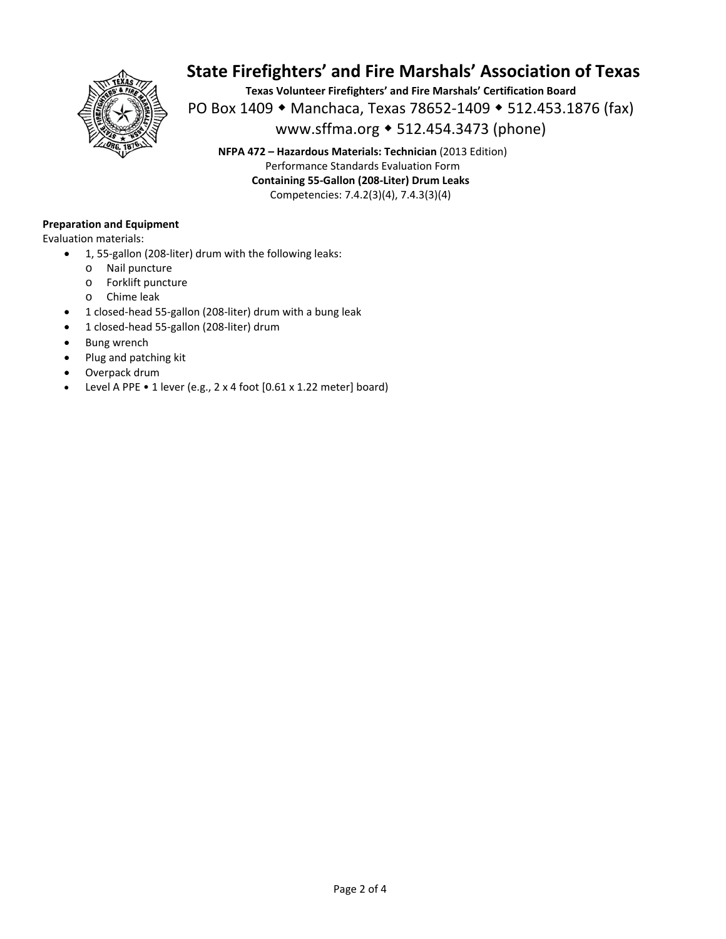

**Texas Volunteer Firefighters' and Fire Marshals' Certification Board**  PO Box 1409 ◆ Manchaca, Texas 78652-1409 ◆ 512.453.1876 (fax) www.sffma.org 512.454.3473 (phone)

**NFPA 472 – Hazardous Materials: Technician** (2013 Edition) Performance Standards Evaluation Form **Containing 55‐Gallon (208‐Liter) Drum Leaks**  Competencies: 7.4.2(3)(4), 7.4.3(3)(4)

### **Preparation and Equipment**

Evaluation materials:

- 1, 55-gallon (208-liter) drum with the following leaks:
	- o Nail puncture
	- o Forklift puncture
	- o Chime leak
- 1 closed-head 55-gallon (208-liter) drum with a bung leak
- 1 closed‐head 55‐gallon (208‐liter) drum
- Bung wrench
- Plug and patching kit
- Overpack drum
- Level A PPE 1 lever (e.g., 2 x 4 foot [0.61 x 1.22 meter] board)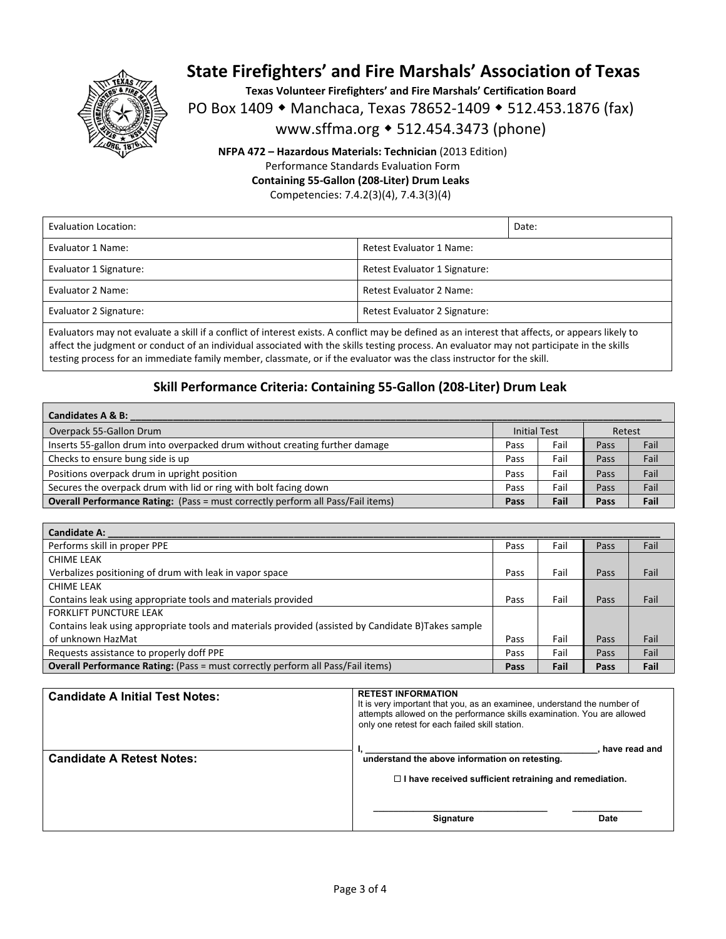

**Texas Volunteer Firefighters' and Fire Marshals' Certification Board** 

PO Box 1409 • Manchaca, Texas 78652-1409 • 512.453.1876 (fax)

www.sffma.org 512.454.3473 (phone)

**NFPA 472 – Hazardous Materials: Technician** (2013 Edition) Performance Standards Evaluation Form **Containing 55‐Gallon (208‐Liter) Drum Leaks** 

Competencies: 7.4.2(3)(4), 7.4.3(3)(4)

| Evaluation Location:   |                               | Date: |
|------------------------|-------------------------------|-------|
| Evaluator 1 Name:      | Retest Evaluator 1 Name:      |       |
| Evaluator 1 Signature: | Retest Evaluator 1 Signature: |       |
| Evaluator 2 Name:      | Retest Evaluator 2 Name:      |       |
| Evaluator 2 Signature: | Retest Evaluator 2 Signature: |       |

Evaluators may not evaluate a skill if a conflict of interest exists. A conflict may be defined as an interest that affects, or appears likely to affect the judgment or conduct of an individual associated with the skills testing process. An evaluator may not participate in the skills testing process for an immediate family member, classmate, or if the evaluator was the class instructor for the skill.

### **Skill Performance Criteria: Containing 55‐Gallon (208‐Liter) Drum Leak**

| Candidates A & B:                                                                      |                     |      |        |      |
|----------------------------------------------------------------------------------------|---------------------|------|--------|------|
| Overpack 55-Gallon Drum                                                                | <b>Initial Test</b> |      | Retest |      |
| Inserts 55-gallon drum into overpacked drum without creating further damage            | Pass                | Fail | Pass   | Fail |
| Checks to ensure bung side is up                                                       | Pass                | Fail | Pass   | Fail |
| Positions overpack drum in upright position                                            | Pass                | Fail | Pass   | Fail |
| Secures the overpack drum with lid or ring with bolt facing down                       | Pass                | Fail | Pass   | Fail |
| <b>Overall Performance Rating:</b> (Pass = must correctly perform all Pass/Fail items) | Pass                | Fail | Pass   | Fail |

| <b>Candidate A:</b>                                                                                |      |      |      |      |
|----------------------------------------------------------------------------------------------------|------|------|------|------|
| Performs skill in proper PPE                                                                       | Pass | Fail | Pass | Fail |
| CHIME LEAK                                                                                         |      |      |      |      |
| Verbalizes positioning of drum with leak in vapor space                                            | Pass | Fail | Pass | Fail |
| CHIME LEAK                                                                                         |      |      |      |      |
| Contains leak using appropriate tools and materials provided                                       | Pass | Fail | Pass | Fail |
| <b>FORKLIFT PUNCTURE LEAK</b>                                                                      |      |      |      |      |
| Contains leak using appropriate tools and materials provided (assisted by Candidate B)Takes sample |      |      |      |      |
| of unknown HazMat                                                                                  | Pass | Fail | Pass | Fail |
| Requests assistance to properly doff PPE                                                           | Pass | Fail | Pass | Fail |
| <b>Overall Performance Rating:</b> (Pass = must correctly perform all Pass/Fail items)             | Pass | Fail | Pass | Fail |

| <b>Candidate A Initial Test Notes:</b> | <b>RETEST INFORMATION</b><br>It is very important that you, as an examinee, understand the number of<br>attempts allowed on the performance skills examination. You are allowed<br>only one retest for each failed skill station. |
|----------------------------------------|-----------------------------------------------------------------------------------------------------------------------------------------------------------------------------------------------------------------------------------|
| <b>Candidate A Retest Notes:</b>       | have read and<br>understand the above information on retesting.<br>$\Box$ I have received sufficient retraining and remediation.                                                                                                  |
|                                        | <b>Signature</b><br>Date                                                                                                                                                                                                          |